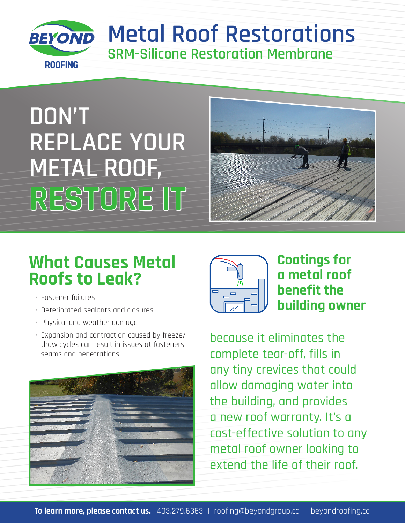

## **Metal Roof Restorations SRM-Silicone Restoration Membrane**

# **DON'T REPLACE YOUR METAL ROOF, RESTORE IT**



## **What Causes Metal Roofs to Leak?**

- Fastener failures
- Deteriorated sealants and closures
- Physical and weather damage
- Expansion and contraction caused by freeze/ thaw cycles can result in issues at fasteners, seams and penetrations





#### **Coatings for a metal roof benefit the building owner**

because it eliminates the complete tear-off, fills in any tiny crevices that could allow damaging water into the building, and provides a new roof warranty. It's a cost-effective solution to any metal roof owner looking to extend the life of their roof.